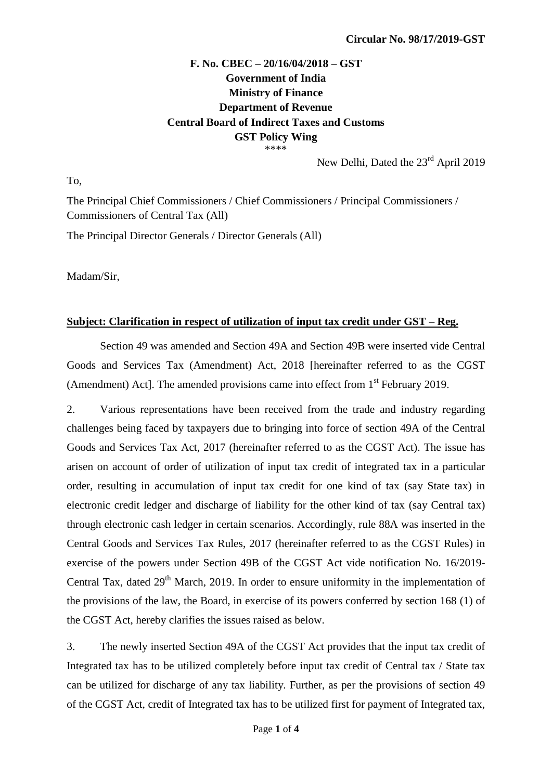## **F. No. CBEC – 20/16/04/2018 – GST Government of India Ministry of Finance Department of Revenue Central Board of Indirect Taxes and Customs GST Policy Wing** \*\*\*\*

New Delhi, Dated the 23<sup>rd</sup> April 2019

To,

The Principal Chief Commissioners / Chief Commissioners / Principal Commissioners / Commissioners of Central Tax (All)

The Principal Director Generals / Director Generals (All)

Madam/Sir,

## **Subject: Clarification in respect of utilization of input tax credit under GST – Reg.**

Section 49 was amended and Section 49A and Section 49B were inserted vide Central Goods and Services Tax (Amendment) Act, 2018 [hereinafter referred to as the CGST (Amendment) Act]. The amended provisions came into effect from 1<sup>st</sup> February 2019.

2. Various representations have been received from the trade and industry regarding challenges being faced by taxpayers due to bringing into force of section 49A of the Central Goods and Services Tax Act, 2017 (hereinafter referred to as the CGST Act). The issue has arisen on account of order of utilization of input tax credit of integrated tax in a particular order, resulting in accumulation of input tax credit for one kind of tax (say State tax) in electronic credit ledger and discharge of liability for the other kind of tax (say Central tax) through electronic cash ledger in certain scenarios. Accordingly, rule 88A was inserted in the Central Goods and Services Tax Rules, 2017 (hereinafter referred to as the CGST Rules) in exercise of the powers under Section 49B of the CGST Act vide notification No. 16/2019- Central Tax, dated  $29<sup>th</sup>$  March, 2019. In order to ensure uniformity in the implementation of the provisions of the law, the Board, in exercise of its powers conferred by section 168 (1) of the CGST Act, hereby clarifies the issues raised as below.

3. The newly inserted Section 49A of the CGST Act provides that the input tax credit of Integrated tax has to be utilized completely before input tax credit of Central tax / State tax can be utilized for discharge of any tax liability. Further, as per the provisions of section 49 of the CGST Act, credit of Integrated tax has to be utilized first for payment of Integrated tax,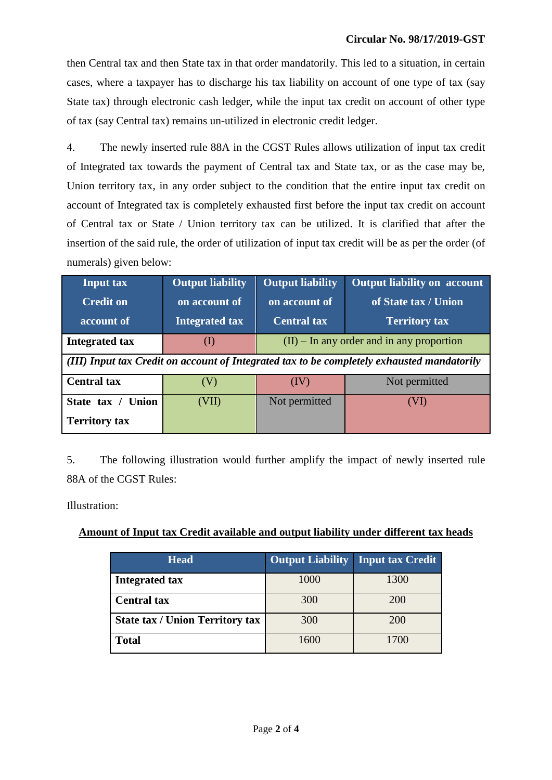then Central tax and then State tax in that order mandatorily. This led to a situation, in certain cases, where a taxpayer has to discharge his tax liability on account of one type of tax (say State tax) through electronic cash ledger, while the input tax credit on account of other type of tax (say Central tax) remains un-utilized in electronic credit ledger.

4. The newly inserted rule 88A in the CGST Rules allows utilization of input tax credit of Integrated tax towards the payment of Central tax and State tax, or as the case may be, Union territory tax, in any order subject to the condition that the entire input tax credit on account of Integrated tax is completely exhausted first before the input tax credit on account of Central tax or State / Union territory tax can be utilized. It is clarified that after the insertion of the said rule, the order of utilization of input tax credit will be as per the order (of numerals) given below:

| <b>Input tax</b>                                                                           | <b>Output liability</b> | <b>Output liability</b>                     | <b>Output liability on account</b> |  |  |  |  |
|--------------------------------------------------------------------------------------------|-------------------------|---------------------------------------------|------------------------------------|--|--|--|--|
| <b>Credit on</b>                                                                           | on account of           | on account of                               | of State tax / Union               |  |  |  |  |
| account of                                                                                 | <b>Integrated tax</b>   | <b>Central tax</b>                          | <b>Territory tax</b>               |  |  |  |  |
| <b>Integrated tax</b>                                                                      | (1)                     | $(II)$ – In any order and in any proportion |                                    |  |  |  |  |
| (III) Input tax Credit on account of Integrated tax to be completely exhausted mandatorily |                         |                                             |                                    |  |  |  |  |
| <b>Central tax</b>                                                                         | (V)                     | (IV)                                        | Not permitted                      |  |  |  |  |
| State tax /<br><b>Union</b>                                                                | (VII)                   | Not permitted                               | (VI)                               |  |  |  |  |
| <b>Territory tax</b>                                                                       |                         |                                             |                                    |  |  |  |  |

5. The following illustration would further amplify the impact of newly inserted rule 88A of the CGST Rules:

Illustration:

## **Amount of Input tax Credit available and output liability under different tax heads**

| <b>Head</b>                            | <b>Output Liability</b> | <b>Input tax Credit</b> |
|----------------------------------------|-------------------------|-------------------------|
| <b>Integrated tax</b>                  | 1000                    | 1300                    |
| <b>Central tax</b>                     | 300                     | <b>200</b>              |
| <b>State tax / Union Territory tax</b> | 300                     | 200                     |
| <b>Total</b>                           | 1600                    | 1700                    |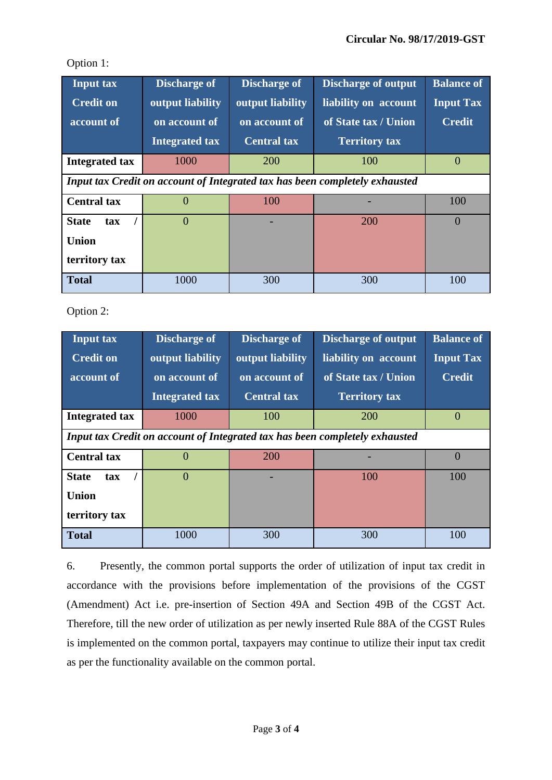| <b>Input tax</b>                                                            | <b>Discharge of</b>   | <b>Discharge of</b> | <b>Discharge of output</b> | <b>Balance of</b> |  |  |
|-----------------------------------------------------------------------------|-----------------------|---------------------|----------------------------|-------------------|--|--|
| <b>Credit on</b>                                                            | output liability      | output liability    | liability on account       | <b>Input Tax</b>  |  |  |
| account of                                                                  | on account of         | on account of       | of State tax / Union       | <b>Credit</b>     |  |  |
|                                                                             | <b>Integrated tax</b> | <b>Central tax</b>  | <b>Territory tax</b>       |                   |  |  |
| <b>Integrated tax</b>                                                       | 1000                  | 200                 | 100                        | $\overline{0}$    |  |  |
| Input tax Credit on account of Integrated tax has been completely exhausted |                       |                     |                            |                   |  |  |
| <b>Central tax</b>                                                          | $\Omega$              | 100                 |                            | 100               |  |  |
| <b>State</b><br>tax                                                         | $\Omega$              |                     | 200                        | $\theta$          |  |  |
| <b>Union</b>                                                                |                       |                     |                            |                   |  |  |
| territory tax                                                               |                       |                     |                            |                   |  |  |
| <b>Total</b>                                                                | 1000                  | 300                 | 300                        | 100               |  |  |

Option 1:

Option 2:

| <b>Input tax</b>                                                            | <b>Discharge of</b>   | <b>Discharge of</b> | <b>Discharge of output</b> | <b>Balance of</b> |  |  |
|-----------------------------------------------------------------------------|-----------------------|---------------------|----------------------------|-------------------|--|--|
| <b>Credit on</b>                                                            | output liability      | output liability    | liability on account       | <b>Input Tax</b>  |  |  |
| account of                                                                  | on account of         | on account of       | of State tax / Union       | <b>Credit</b>     |  |  |
|                                                                             | <b>Integrated tax</b> | <b>Central tax</b>  | <b>Territory tax</b>       |                   |  |  |
| <b>Integrated tax</b>                                                       | 1000                  | 100                 | 200                        | $\Omega$          |  |  |
| Input tax Credit on account of Integrated tax has been completely exhausted |                       |                     |                            |                   |  |  |
| <b>Central tax</b>                                                          | $\Omega$              | 200                 |                            | $\Omega$          |  |  |
| <b>State</b><br>tax                                                         | $\Omega$              |                     | 100                        | 100               |  |  |
| <b>Union</b>                                                                |                       |                     |                            |                   |  |  |
| territory tax                                                               |                       |                     |                            |                   |  |  |
| <b>Total</b>                                                                | 1000                  | 300                 | 300                        | 100               |  |  |

6. Presently, the common portal supports the order of utilization of input tax credit in accordance with the provisions before implementation of the provisions of the CGST (Amendment) Act i.e. pre-insertion of Section 49A and Section 49B of the CGST Act. Therefore, till the new order of utilization as per newly inserted Rule 88A of the CGST Rules is implemented on the common portal, taxpayers may continue to utilize their input tax credit as per the functionality available on the common portal.